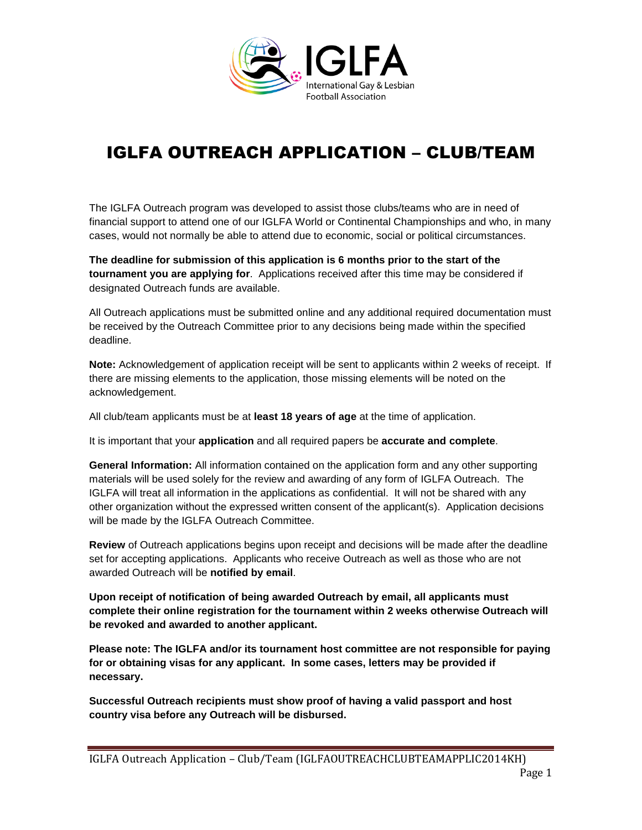

# IGLFA OUTREACH APPLICATION – CLUB/TEAM

The IGLFA Outreach program was developed to assist those clubs/teams who are in need of financial support to attend one of our IGLFA World or Continental Championships and who, in many cases, would not normally be able to attend due to economic, social or political circumstances.

**The deadline for submission of this application is 6 months prior to the start of the tournament you are applying for**. Applications received after this time may be considered if designated Outreach funds are available.

All Outreach applications must be submitted online and any additional required documentation must be received by the Outreach Committee prior to any decisions being made within the specified deadline.

**Note:** Acknowledgement of application receipt will be sent to applicants within 2 weeks of receipt. If there are missing elements to the application, those missing elements will be noted on the acknowledgement.

All club/team applicants must be at **least 18 years of age** at the time of application.

It is important that your **application** and all required papers be **accurate and complete**.

**General Information:** All information contained on the application form and any other supporting materials will be used solely for the review and awarding of any form of IGLFA Outreach. The IGLFA will treat all information in the applications as confidential. It will not be shared with any other organization without the expressed written consent of the applicant(s). Application decisions will be made by the IGLFA Outreach Committee.

**Review** of Outreach applications begins upon receipt and decisions will be made after the deadline set for accepting applications. Applicants who receive Outreach as well as those who are not awarded Outreach will be **notified by email**.

**Upon receipt of notification of being awarded Outreach by email, all applicants must complete their online registration for the tournament within 2 weeks otherwise Outreach will be revoked and awarded to another applicant.**

**Please note: The IGLFA and/or its tournament host committee are not responsible for paying for or obtaining visas for any applicant. In some cases, letters may be provided if necessary.** 

**Successful Outreach recipients must show proof of having a valid passport and host country visa before any Outreach will be disbursed.**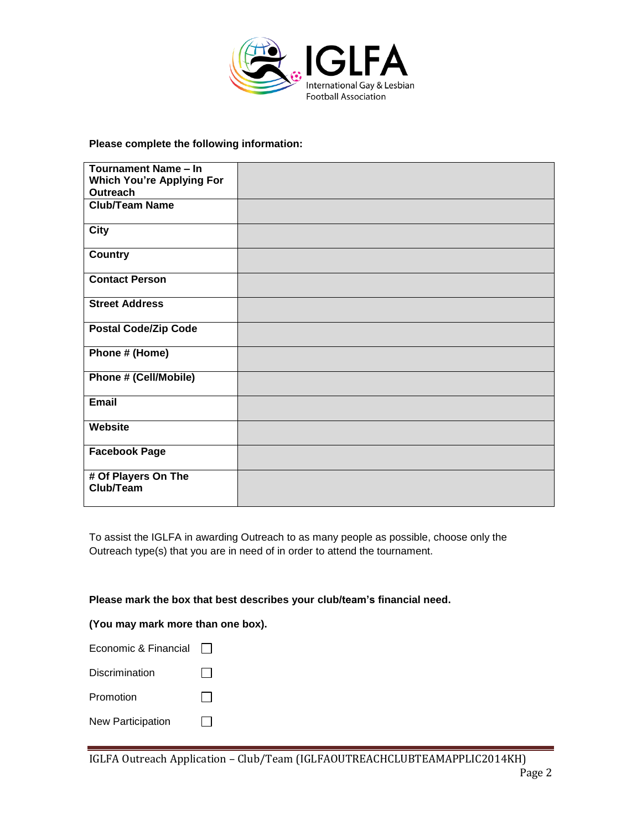

**Please complete the following information:**

| Tournament Name - In             |  |
|----------------------------------|--|
| <b>Which You're Applying For</b> |  |
| Outreach                         |  |
| <b>Club/Team Name</b>            |  |
|                                  |  |
|                                  |  |
| City                             |  |
|                                  |  |
| <b>Country</b>                   |  |
|                                  |  |
| <b>Contact Person</b>            |  |
|                                  |  |
| <b>Street Address</b>            |  |
|                                  |  |
|                                  |  |
| <b>Postal Code/Zip Code</b>      |  |
|                                  |  |
| Phone # (Home)                   |  |
|                                  |  |
| Phone # (Cell/Mobile)            |  |
|                                  |  |
| <b>Email</b>                     |  |
|                                  |  |
| <b>Website</b>                   |  |
|                                  |  |
|                                  |  |
| <b>Facebook Page</b>             |  |
|                                  |  |
| # Of Players On The              |  |
| Club/Team                        |  |
|                                  |  |

To assist the IGLFA in awarding Outreach to as many people as possible, choose only the Outreach type(s) that you are in need of in order to attend the tournament.

**Please mark the box that best describes your club/team's financial need.**

#### **(You may mark more than one box).**

| Economic & Financial     |  |
|--------------------------|--|
| Discrimination           |  |
| Promotion                |  |
| <b>New Participation</b> |  |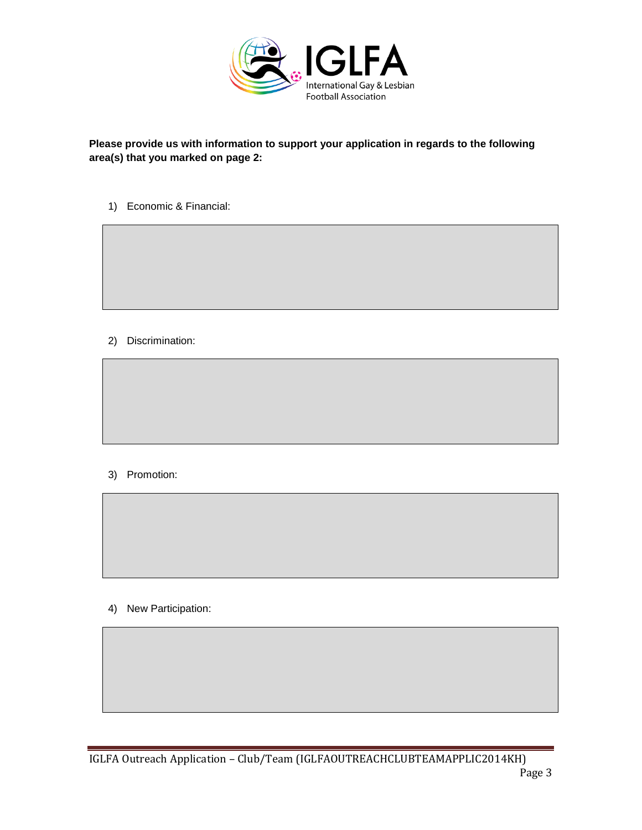

# **Please provide us with information to support your application in regards to the following area(s) that you marked on page 2:**

1) Economic & Financial:

2) Discrimination:

# 3) Promotion:

4) New Participation: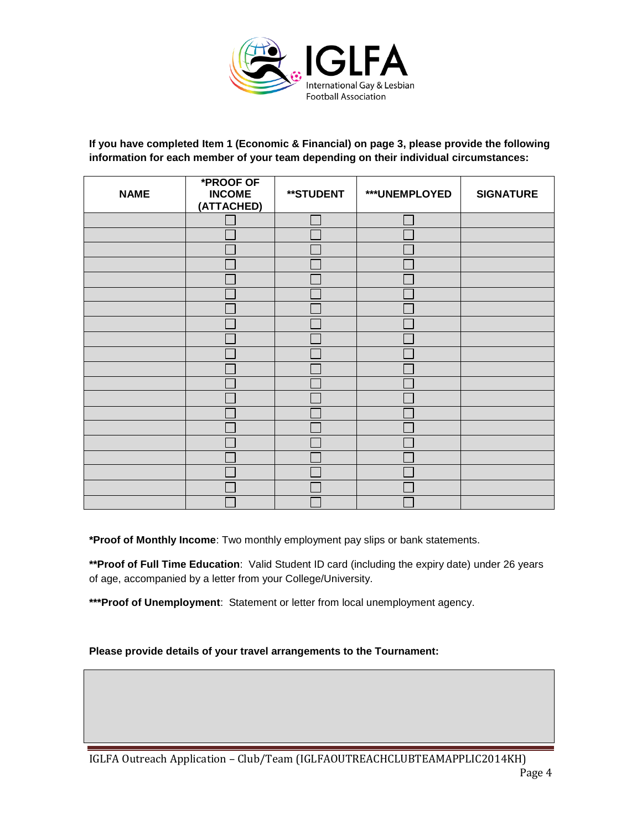

## **If you have completed Item 1 (Economic & Financial) on page 3, please provide the following information for each member of your team depending on their individual circumstances:**

| <b>NAME</b> | <b>*PROOF OF</b><br><b>INCOME</b><br>(ATTACHED) | **STUDENT | ***UNEMPLOYED | <b>SIGNATURE</b> |
|-------------|-------------------------------------------------|-----------|---------------|------------------|
|             |                                                 |           |               |                  |
|             |                                                 |           |               |                  |
|             |                                                 |           |               |                  |
|             |                                                 |           |               |                  |
|             |                                                 |           |               |                  |
|             |                                                 |           |               |                  |
|             |                                                 |           |               |                  |
|             |                                                 |           |               |                  |
|             |                                                 |           |               |                  |
|             |                                                 |           |               |                  |
|             |                                                 |           |               |                  |
|             |                                                 |           |               |                  |
|             |                                                 |           |               |                  |
|             |                                                 |           |               |                  |
|             |                                                 |           |               |                  |
|             |                                                 |           |               |                  |
|             |                                                 |           |               |                  |
|             |                                                 |           |               |                  |
|             |                                                 |           |               |                  |
|             |                                                 |           |               |                  |

**\*Proof of Monthly Income**: Two monthly employment pay slips or bank statements.

**\*\*Proof of Full Time Education**: Valid Student ID card (including the expiry date) under 26 years of age, accompanied by a letter from your College/University.

**\*\*\*Proof of Unemployment**: Statement or letter from local unemployment agency.

## **Please provide details of your travel arrangements to the Tournament:**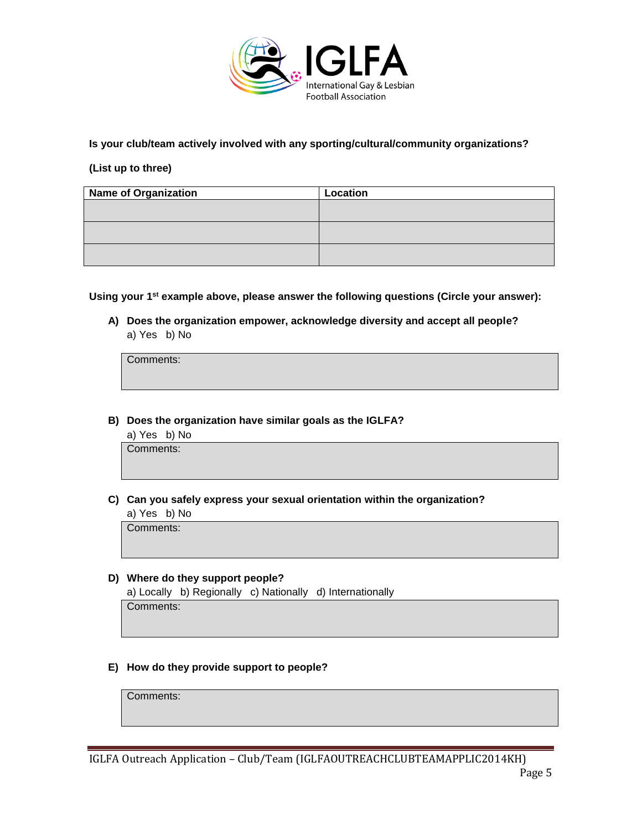

**Is your club/team actively involved with any sporting/cultural/community organizations?**

# **(List up to three)**

| <b>Name of Organization</b> | Location |
|-----------------------------|----------|
|                             |          |
|                             |          |
|                             |          |
|                             |          |
|                             |          |
|                             |          |

**Using your 1st example above, please answer the following questions (Circle your answer):**

**A) Does the organization empower, acknowledge diversity and accept all people?**  a) Yes b) No

Comments:

**B) Does the organization have similar goals as the IGLFA?**

a) Yes b) No

Comments:

**C) Can you safely express your sexual orientation within the organization?**

a) Yes b) No

Comments:

## **D) Where do they support people?**

a) Locally b) Regionally c) Nationally d) Internationally

Comments:

## **E) How do they provide support to people?**

Comments: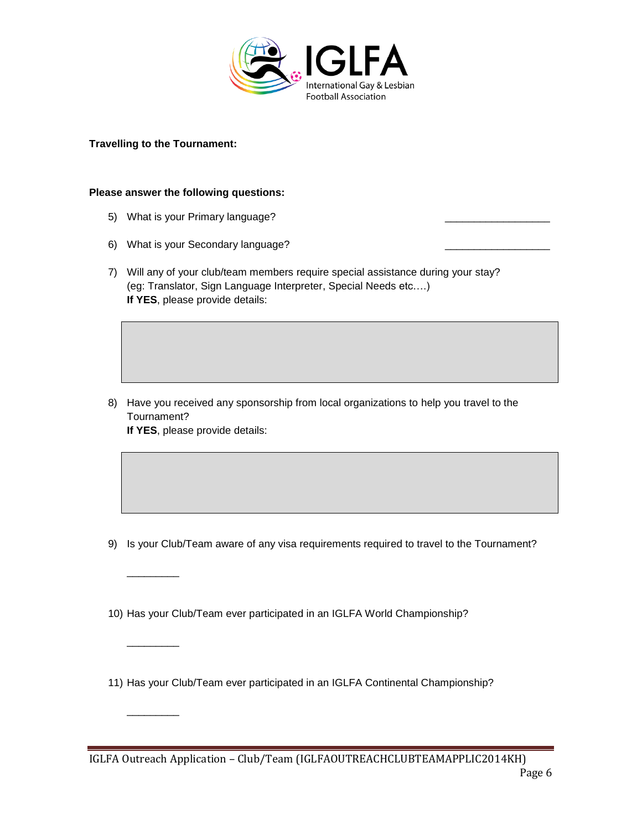

#### **Travelling to the Tournament:**

\_\_\_\_\_\_\_\_\_

 $\overline{\phantom{a}}$ 

 $\overline{\phantom{a}}$ 

#### **Please answer the following questions:**

- 5) What is your Primary language?
- 6) What is your Secondary language?
- 7) Will any of your club/team members require special assistance during your stay? (eg: Translator, Sign Language Interpreter, Special Needs etc….) **If YES**, please provide details:

8) Have you received any sponsorship from local organizations to help you travel to the Tournament? **If YES**, please provide details:

- 9) Is your Club/Team aware of any visa requirements required to travel to the Tournament?
- 10) Has your Club/Team ever participated in an IGLFA World Championship?
- 11) Has your Club/Team ever participated in an IGLFA Continental Championship?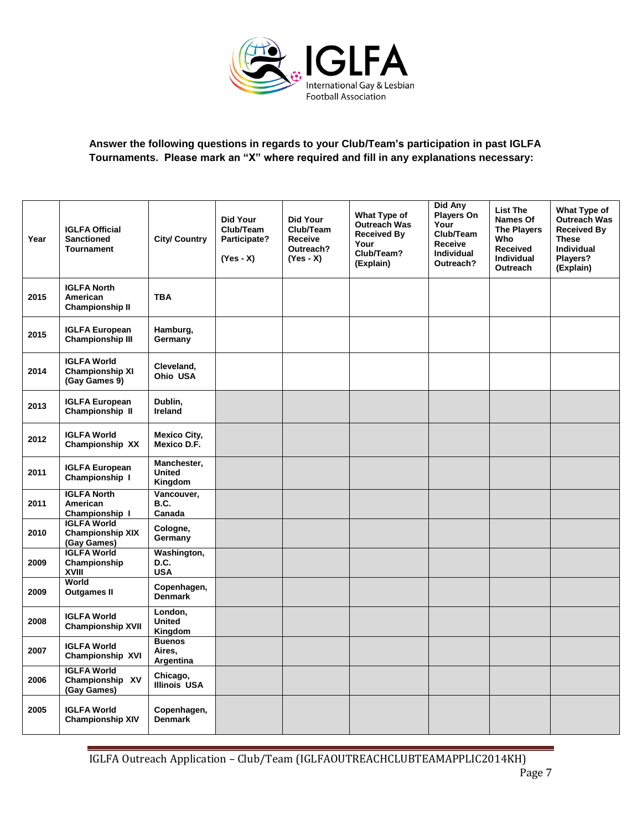

# **Answer the following questions in regards to your Club/Team's participation in past IGLFA Tournaments. Please mark an "X" where required and fill in any explanations necessary:**

| Year | <b>IGLFA Official</b><br><b>Sanctioned</b><br><b>Tournament</b> | <b>City/ Country</b>                    | <b>Did Your</b><br>Club/Team<br>Participate?<br>$(Yes - X)$ | Did Your<br>Club/Team<br><b>Receive</b><br>Outreach?<br>$(Yes - X)$ | What Type of<br><b>Outreach Was</b><br><b>Received By</b><br>Your<br>Club/Team?<br>(Explain) | Did Any<br><b>Players On</b><br>Your<br>Club/Team<br>Receive<br><b>Individual</b><br>Outreach? | <b>List The</b><br>Names Of<br><b>The Players</b><br>Who<br><b>Received</b><br><b>Individual</b><br>Outreach | What Type of<br>Outreach Was<br><b>Received By</b><br><b>These</b><br><b>Individual</b><br>Players?<br>(Explain) |
|------|-----------------------------------------------------------------|-----------------------------------------|-------------------------------------------------------------|---------------------------------------------------------------------|----------------------------------------------------------------------------------------------|------------------------------------------------------------------------------------------------|--------------------------------------------------------------------------------------------------------------|------------------------------------------------------------------------------------------------------------------|
| 2015 | <b>IGLFA North</b><br>American<br><b>Championship II</b>        | <b>TBA</b>                              |                                                             |                                                                     |                                                                                              |                                                                                                |                                                                                                              |                                                                                                                  |
| 2015 | <b>IGLFA European</b><br><b>Championship III</b>                | Hamburg,<br>Germany                     |                                                             |                                                                     |                                                                                              |                                                                                                |                                                                                                              |                                                                                                                  |
| 2014 | <b>IGLFA World</b><br><b>Championship XI</b><br>(Gay Games 9)   | Cleveland,<br>Ohio USA                  |                                                             |                                                                     |                                                                                              |                                                                                                |                                                                                                              |                                                                                                                  |
| 2013 | <b>IGLFA European</b><br>Championship II                        | Dublin,<br><b>Ireland</b>               |                                                             |                                                                     |                                                                                              |                                                                                                |                                                                                                              |                                                                                                                  |
| 2012 | <b>IGLFA World</b><br>Championship XX                           | <b>Mexico City,</b><br>Mexico D.F.      |                                                             |                                                                     |                                                                                              |                                                                                                |                                                                                                              |                                                                                                                  |
| 2011 | <b>IGLFA European</b><br>Championship I                         | Manchester,<br><b>United</b><br>Kingdom |                                                             |                                                                     |                                                                                              |                                                                                                |                                                                                                              |                                                                                                                  |
| 2011 | <b>IGLFA North</b><br>American<br>Championship I                | Vancouver,<br>B.C.<br>Canada            |                                                             |                                                                     |                                                                                              |                                                                                                |                                                                                                              |                                                                                                                  |
| 2010 | <b>IGLFA World</b><br><b>Championship XIX</b><br>(Gay Games)    | Cologne,<br>Germany                     |                                                             |                                                                     |                                                                                              |                                                                                                |                                                                                                              |                                                                                                                  |
| 2009 | <b>IGLFA World</b><br>Championship<br>XVIII                     | Washington,<br>D.C.<br><b>USA</b>       |                                                             |                                                                     |                                                                                              |                                                                                                |                                                                                                              |                                                                                                                  |
| 2009 | World<br><b>Outgames II</b>                                     | Copenhagen,<br><b>Denmark</b>           |                                                             |                                                                     |                                                                                              |                                                                                                |                                                                                                              |                                                                                                                  |
| 2008 | <b>IGLFA World</b><br><b>Championship XVII</b>                  | London,<br><b>United</b><br>Kingdom     |                                                             |                                                                     |                                                                                              |                                                                                                |                                                                                                              |                                                                                                                  |
| 2007 | <b>IGLFA World</b><br>Championship XVI                          | <b>Buenos</b><br>Aires,<br>Argentina    |                                                             |                                                                     |                                                                                              |                                                                                                |                                                                                                              |                                                                                                                  |
| 2006 | <b>IGLFA World</b><br>Championship XV<br>(Gay Games)            | Chicago,<br><b>Illinois USA</b>         |                                                             |                                                                     |                                                                                              |                                                                                                |                                                                                                              |                                                                                                                  |
| 2005 | <b>IGLFA World</b><br><b>Championship XIV</b>                   | Copenhagen,<br><b>Denmark</b>           |                                                             |                                                                     |                                                                                              |                                                                                                |                                                                                                              |                                                                                                                  |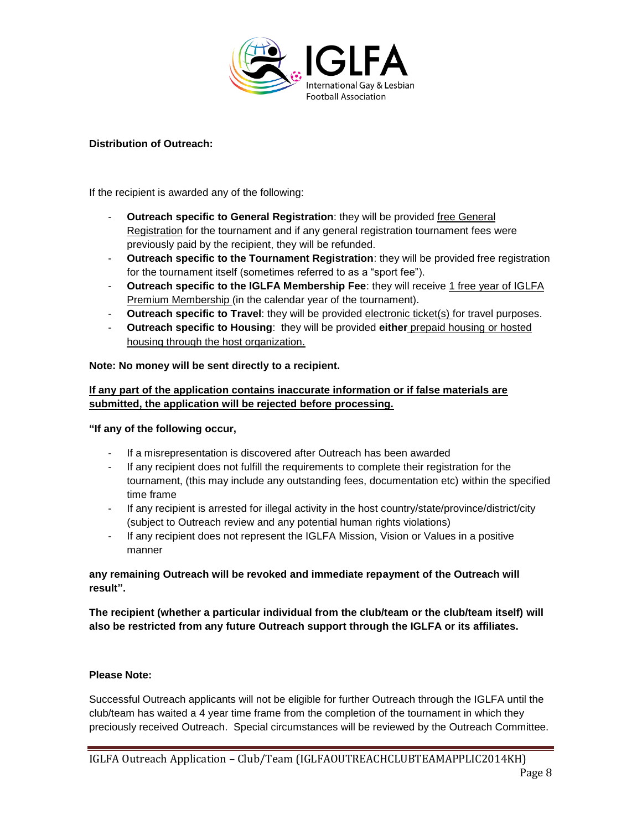

## **Distribution of Outreach:**

If the recipient is awarded any of the following:

- **Outreach specific to General Registration:** they will be provided free General Registration for the tournament and if any general registration tournament fees were previously paid by the recipient, they will be refunded.
- **Outreach specific to the Tournament Registration**: they will be provided free registration for the tournament itself (sometimes referred to as a "sport fee").
- **Outreach specific to the IGLFA Membership Fee**: they will receive 1 free year of IGLFA Premium Membership (in the calendar year of the tournament).
- **Outreach specific to Travel**: they will be provided electronic ticket(s) for travel purposes.
- **Outreach specific to Housing**: they will be provided **either** prepaid housing or hosted housing through the host organization.

## **Note: No money will be sent directly to a recipient.**

# **If any part of the application contains inaccurate information or if false materials are submitted, the application will be rejected before processing.**

**"If any of the following occur,**

- If a misrepresentation is discovered after Outreach has been awarded
- If any recipient does not fulfill the requirements to complete their registration for the tournament, (this may include any outstanding fees, documentation etc) within the specified time frame
- If any recipient is arrested for illegal activity in the host country/state/province/district/city (subject to Outreach review and any potential human rights violations)
- If any recipient does not represent the IGLFA Mission, Vision or Values in a positive manner

## **any remaining Outreach will be revoked and immediate repayment of the Outreach will result".**

**The recipient (whether a particular individual from the club/team or the club/team itself) will also be restricted from any future Outreach support through the IGLFA or its affiliates.**

## **Please Note:**

Successful Outreach applicants will not be eligible for further Outreach through the IGLFA until the club/team has waited a 4 year time frame from the completion of the tournament in which they preciously received Outreach. Special circumstances will be reviewed by the Outreach Committee.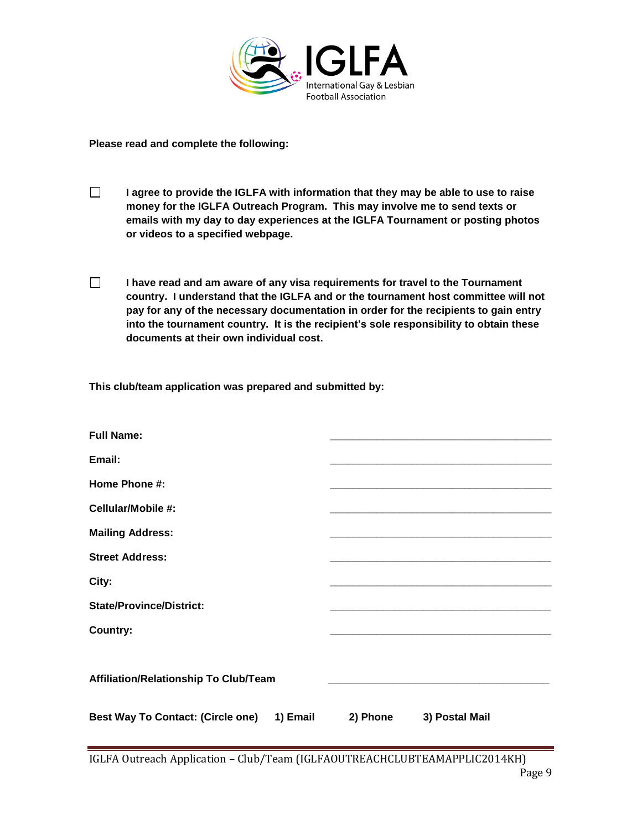

**Please read and complete the following:**

- $\Box$ **I agree to provide the IGLFA with information that they may be able to use to raise money for the IGLFA Outreach Program. This may involve me to send texts or emails with my day to day experiences at the IGLFA Tournament or posting photos or videos to a specified webpage.**
- $\Box$ **I have read and am aware of any visa requirements for travel to the Tournament country. I understand that the IGLFA and or the tournament host committee will not pay for any of the necessary documentation in order for the recipients to gain entry into the tournament country. It is the recipient's sole responsibility to obtain these documents at their own individual cost.**

**This club/team application was prepared and submitted by:**

| <b>Full Name:</b>                          |          |                |
|--------------------------------------------|----------|----------------|
| Email:                                     |          |                |
| Home Phone #:                              |          |                |
| Cellular/Mobile #:                         |          |                |
| <b>Mailing Address:</b>                    |          |                |
| <b>Street Address:</b>                     |          |                |
| City:                                      |          |                |
| <b>State/Province/District:</b>            |          |                |
| <b>Country:</b>                            |          |                |
|                                            |          |                |
| Affiliation/Relationship To Club/Team      |          |                |
|                                            |          |                |
| Best Way To Contact: (Circle one) 1) Email | 2) Phone | 3) Postal Mail |